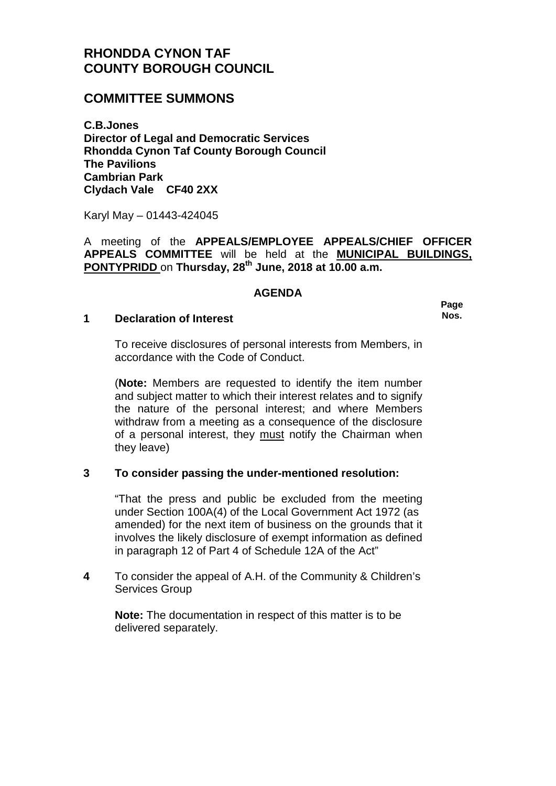# **RHONDDA CYNON TAF COUNTY BOROUGH COUNCIL**

### **COMMITTEE SUMMONS**

**C.B.Jones Director of Legal and Democratic Services Rhondda Cynon Taf County Borough Council The Pavilions Cambrian Park Clydach Vale CF40 2XX**

Karyl May – 01443-424045

A meeting of the **APPEALS/EMPLOYEE APPEALS/CHIEF OFFICER APPEALS COMMITTEE** will be held at the **MUNICIPAL BUILDINGS, PONTYPRIDD** on **Thursday, 28th June, 2018 at 10.00 a.m.**

#### **AGENDA**

#### **1 Declaration of Interest**

**Page Nos.**

To receive disclosures of personal interests from Members, in accordance with the Code of Conduct.

(**Note:** Members are requested to identify the item number and subject matter to which their interest relates and to signify the nature of the personal interest; and where Members withdraw from a meeting as a consequence of the disclosure of a personal interest, they must notify the Chairman when they leave)

### **3 To consider passing the under-mentioned resolution:**

"That the press and public be excluded from the meeting under Section 100A(4) of the Local Government Act 1972 (as amended) for the next item of business on the grounds that it involves the likely disclosure of exempt information as defined in paragraph 12 of Part 4 of Schedule 12A of the Act"

**4** To consider the appeal of A.H. of the Community & Children's Services Group

**Note:** The documentation in respect of this matter is to be delivered separately.